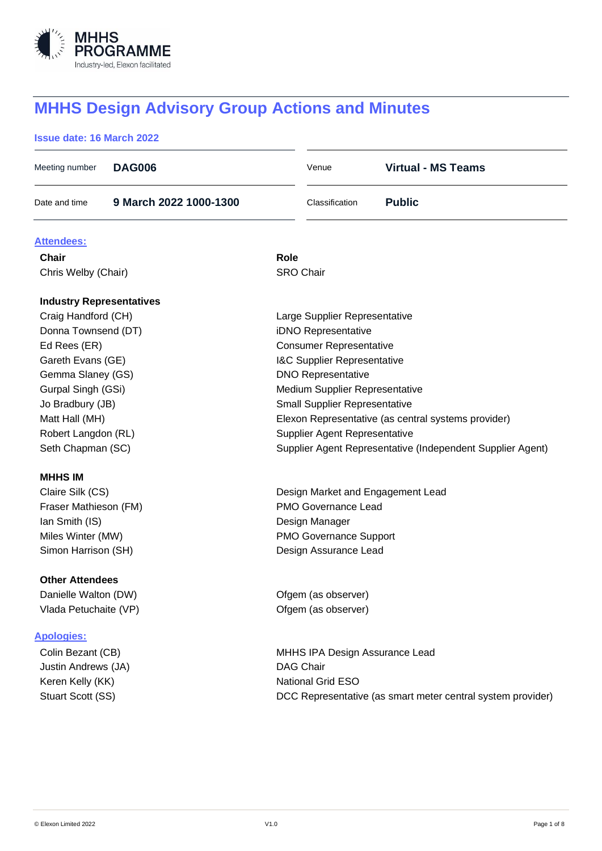

# **MHHS Design Advisory Group Actions and Minutes**

# **Issue date: 16 March 2022**

| Meeting number                  | <b>DAG006</b>          | Venue                                                      |  | <b>Virtual - MS Teams</b>                                   |  |  |  |
|---------------------------------|------------------------|------------------------------------------------------------|--|-------------------------------------------------------------|--|--|--|
| Date and time                   | 9 March 2022 1000-1300 | Classification                                             |  | <b>Public</b>                                               |  |  |  |
| Attendees:                      |                        |                                                            |  |                                                             |  |  |  |
| <b>Chair</b>                    |                        | Role                                                       |  |                                                             |  |  |  |
| Chris Welby (Chair)             |                        | <b>SRO Chair</b>                                           |  |                                                             |  |  |  |
| <b>Industry Representatives</b> |                        |                                                            |  |                                                             |  |  |  |
| Craig Handford (CH)             |                        | Large Supplier Representative                              |  |                                                             |  |  |  |
| Donna Townsend (DT)             |                        | iDNO Representative                                        |  |                                                             |  |  |  |
| Ed Rees (ER)                    |                        | <b>Consumer Representative</b>                             |  |                                                             |  |  |  |
| Gareth Evans (GE)               |                        | <b>I&amp;C Supplier Representative</b>                     |  |                                                             |  |  |  |
| Gemma Slaney (GS)               |                        | <b>DNO Representative</b>                                  |  |                                                             |  |  |  |
| Gurpal Singh (GSi)              |                        | Medium Supplier Representative                             |  |                                                             |  |  |  |
| Jo Bradbury (JB)                |                        | <b>Small Supplier Representative</b>                       |  |                                                             |  |  |  |
| Matt Hall (MH)                  |                        |                                                            |  | Elexon Representative (as central systems provider)         |  |  |  |
| Robert Langdon (RL)             |                        | Supplier Agent Representative                              |  |                                                             |  |  |  |
| Seth Chapman (SC)               |                        | Supplier Agent Representative (Independent Supplier Agent) |  |                                                             |  |  |  |
| <b>MHHS IM</b>                  |                        |                                                            |  |                                                             |  |  |  |
| Claire Silk (CS)                |                        | Design Market and Engagement Lead                          |  |                                                             |  |  |  |
| Fraser Mathieson (FM)           |                        | PMO Governance Lead                                        |  |                                                             |  |  |  |
| Ian Smith (IS)                  |                        | Design Manager                                             |  |                                                             |  |  |  |
| Miles Winter (MW)               |                        | <b>PMO Governance Support</b>                              |  |                                                             |  |  |  |
| Simon Harrison (SH)             |                        | Design Assurance Lead                                      |  |                                                             |  |  |  |
| <b>Other Attendees</b>          |                        |                                                            |  |                                                             |  |  |  |
| Danielle Walton (DW)            |                        | Ofgem (as observer)                                        |  |                                                             |  |  |  |
| Vlada Petuchaite (VP)           |                        | Ofgem (as observer)                                        |  |                                                             |  |  |  |
| <b>Apologies:</b>               |                        |                                                            |  |                                                             |  |  |  |
| Colin Bezant (CB)               |                        |                                                            |  | MHHS IPA Design Assurance Lead                              |  |  |  |
| Justin Andrews (JA)             | <b>DAG Chair</b>       |                                                            |  |                                                             |  |  |  |
| Keren Kelly (KK)                |                        | <b>National Grid ESO</b>                                   |  |                                                             |  |  |  |
| Stuart Scott (SS)               |                        |                                                            |  | DCC Representative (as smart meter central system provider) |  |  |  |
|                                 |                        |                                                            |  |                                                             |  |  |  |
|                                 |                        |                                                            |  |                                                             |  |  |  |
|                                 |                        |                                                            |  |                                                             |  |  |  |
|                                 |                        |                                                            |  |                                                             |  |  |  |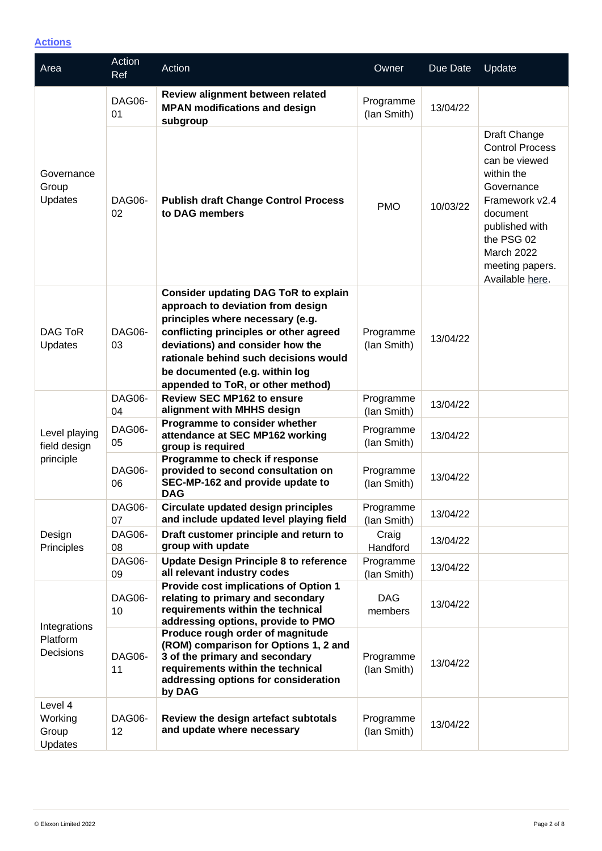**Actions**

| Area                                       | Action<br>Ref | Action                                                                                                                                                                                                                                                                                                             | Owner                    | Due Date | Update                                                                                                                                                                                                |
|--------------------------------------------|---------------|--------------------------------------------------------------------------------------------------------------------------------------------------------------------------------------------------------------------------------------------------------------------------------------------------------------------|--------------------------|----------|-------------------------------------------------------------------------------------------------------------------------------------------------------------------------------------------------------|
| Governance<br>Group<br>Updates             | DAG06-<br>01  | Review alignment between related<br><b>MPAN modifications and design</b><br>subgroup                                                                                                                                                                                                                               | Programme<br>(lan Smith) | 13/04/22 |                                                                                                                                                                                                       |
|                                            | DAG06-<br>02  | <b>Publish draft Change Control Process</b><br>to DAG members                                                                                                                                                                                                                                                      | <b>PMO</b>               | 10/03/22 | Draft Change<br><b>Control Process</b><br>can be viewed<br>within the<br>Governance<br>Framework v2.4<br>document<br>published with<br>the PSG 02<br>March 2022<br>meeting papers.<br>Available here. |
| <b>DAG ToR</b><br>Updates                  | DAG06-<br>03  | <b>Consider updating DAG ToR to explain</b><br>approach to deviation from design<br>principles where necessary (e.g.<br>conflicting principles or other agreed<br>deviations) and consider how the<br>rationale behind such decisions would<br>be documented (e.g. within log<br>appended to ToR, or other method) | Programme<br>(lan Smith) | 13/04/22 |                                                                                                                                                                                                       |
| Level playing<br>field design<br>principle | DAG06-<br>04  | <b>Review SEC MP162 to ensure</b><br>alignment with MHHS design                                                                                                                                                                                                                                                    | Programme<br>(lan Smith) | 13/04/22 |                                                                                                                                                                                                       |
|                                            | DAG06-<br>05  | Programme to consider whether<br>attendance at SEC MP162 working<br>group is required                                                                                                                                                                                                                              | Programme<br>(lan Smith) | 13/04/22 |                                                                                                                                                                                                       |
|                                            | DAG06-<br>06  | Programme to check if response<br>provided to second consultation on<br>SEC-MP-162 and provide update to<br><b>DAG</b>                                                                                                                                                                                             | Programme<br>(lan Smith) | 13/04/22 |                                                                                                                                                                                                       |
| Design<br>Principles                       | DAG06-<br>07  | Circulate updated design principles<br>and include updated level playing field                                                                                                                                                                                                                                     | Programme<br>(lan Smith) | 13/04/22 |                                                                                                                                                                                                       |
|                                            | DAG06-<br>08  | Draft customer principle and return to<br>group with update                                                                                                                                                                                                                                                        | Craig<br>Handford        | 13/04/22 |                                                                                                                                                                                                       |
|                                            | DAG06-<br>09  | <b>Update Design Principle 8 to reference</b><br>all relevant industry codes                                                                                                                                                                                                                                       | Programme<br>(lan Smith) | 13/04/22 |                                                                                                                                                                                                       |
| Integrations<br>Platform<br>Decisions      | DAG06-<br>10  | Provide cost implications of Option 1<br>relating to primary and secondary<br>requirements within the technical<br>addressing options, provide to PMO                                                                                                                                                              | <b>DAG</b><br>members    | 13/04/22 |                                                                                                                                                                                                       |
|                                            | DAG06-<br>11  | Produce rough order of magnitude<br>(ROM) comparison for Options 1, 2 and<br>3 of the primary and secondary<br>requirements within the technical<br>addressing options for consideration<br>by DAG                                                                                                                 | Programme<br>(lan Smith) | 13/04/22 |                                                                                                                                                                                                       |
| Level 4<br>Working<br>Group<br>Updates     | DAG06-<br>12  | Review the design artefact subtotals<br>and update where necessary                                                                                                                                                                                                                                                 | Programme<br>(lan Smith) | 13/04/22 |                                                                                                                                                                                                       |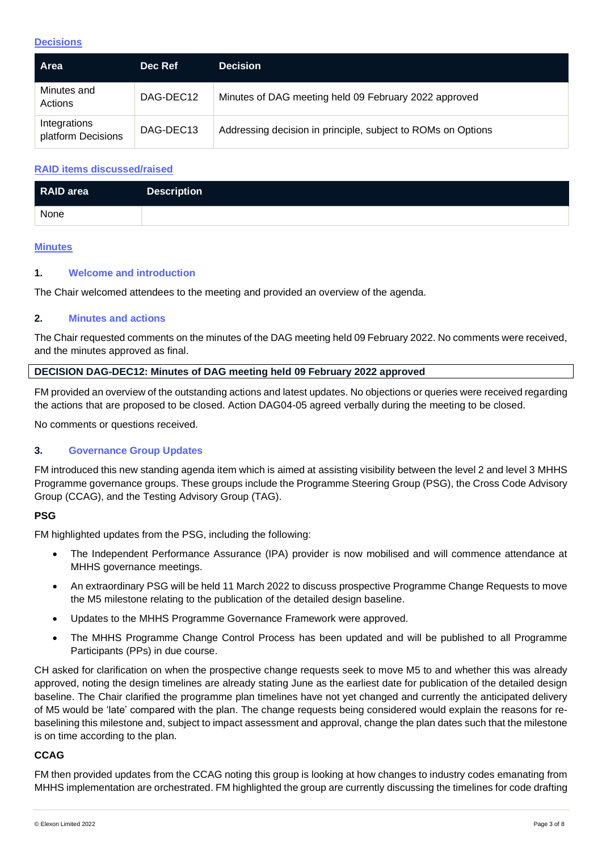# **Decisions**

| <b>Area</b>                        | Dec Ref   | <b>Decision</b>                                              |
|------------------------------------|-----------|--------------------------------------------------------------|
| Minutes and<br>Actions             | DAG-DEC12 | Minutes of DAG meeting held 09 February 2022 approved        |
| Integrations<br>platform Decisions | DAG-DEC13 | Addressing decision in principle, subject to ROMs on Options |

# **RAID items discussed/raised**

| RAID area | <b>Description</b> |
|-----------|--------------------|
| None      |                    |

#### **Minutes**

## **1. Welcome and introduction**

The Chair welcomed attendees to the meeting and provided an overview of the agenda.

#### **2. Minutes and actions**

The Chair requested comments on the minutes of the DAG meeting held 09 February 2022. No comments were received, and the minutes approved as final.

#### **DECISION DAG-DEC12: Minutes of DAG meeting held 09 February 2022 approved**

FM provided an overview of the outstanding actions and latest updates. No objections or queries were received regarding the actions that are proposed to be closed. Action DAG04-05 agreed verbally during the meeting to be closed.

No comments or questions received.

## **3. Governance Group Updates**

FM introduced this new standing agenda item which is aimed at assisting visibility between the level 2 and level 3 MHHS Programme governance groups. These groups include the Programme Steering Group (PSG), the Cross Code Advisory Group (CCAG), and the Testing Advisory Group (TAG).

## **PSG**

FM highlighted updates from the PSG, including the following:

- The Independent Performance Assurance (IPA) provider is now mobilised and will commence attendance at MHHS governance meetings.
- An extraordinary PSG will be held 11 March 2022 to discuss prospective Programme Change Requests to move the M5 milestone relating to the publication of the detailed design baseline.
- Updates to the MHHS Programme Governance Framework were approved.
- The MHHS Programme Change Control Process has been updated and will be published to all Programme Participants (PPs) in due course.

CH asked for clarification on when the prospective change requests seek to move M5 to and whether this was already approved, noting the design timelines are already stating June as the earliest date for publication of the detailed design baseline. The Chair clarified the programme plan timelines have not yet changed and currently the anticipated delivery of M5 would be 'late' compared with the plan. The change requests being considered would explain the reasons for rebaselining this milestone and, subject to impact assessment and approval, change the plan dates such that the milestone is on time according to the plan.

#### **CCAG**

FM then provided updates from the CCAG noting this group is looking at how changes to industry codes emanating from MHHS implementation are orchestrated. FM highlighted the group are currently discussing the timelines for code drafting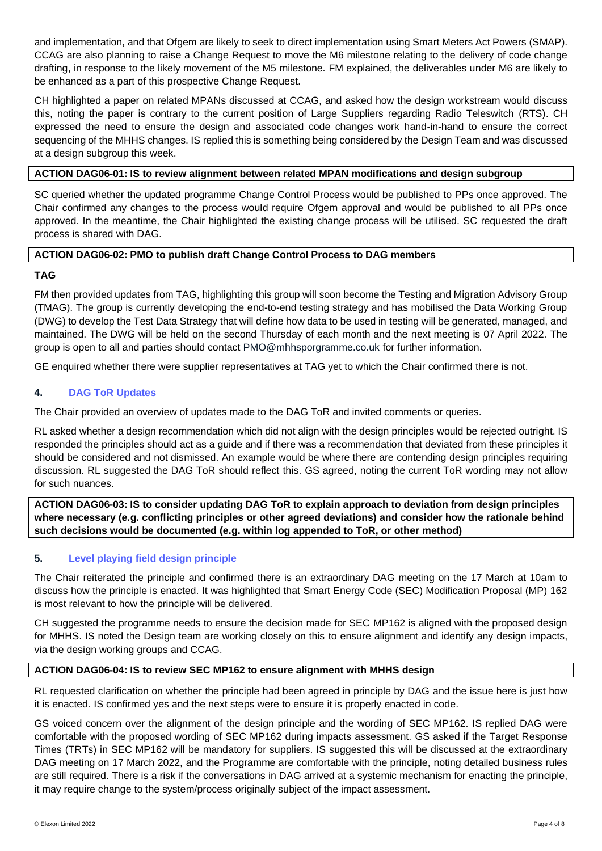and implementation, and that Ofgem are likely to seek to direct implementation using Smart Meters Act Powers (SMAP). CCAG are also planning to raise a Change Request to move the M6 milestone relating to the delivery of code change drafting, in response to the likely movement of the M5 milestone. FM explained, the deliverables under M6 are likely to be enhanced as a part of this prospective Change Request.

CH highlighted a paper on related MPANs discussed at CCAG, and asked how the design workstream would discuss this, noting the paper is contrary to the current position of Large Suppliers regarding Radio Teleswitch (RTS). CH expressed the need to ensure the design and associated code changes work hand-in-hand to ensure the correct sequencing of the MHHS changes. IS replied this is something being considered by the Design Team and was discussed at a design subgroup this week.

## **ACTION DAG06-01: IS to review alignment between related MPAN modifications and design subgroup**

SC queried whether the updated programme Change Control Process would be published to PPs once approved. The Chair confirmed any changes to the process would require Ofgem approval and would be published to all PPs once approved. In the meantime, the Chair highlighted the existing change process will be utilised. SC requested the draft process is shared with DAG.

# **ACTION DAG06-02: PMO to publish draft Change Control Process to DAG members**

# **TAG**

FM then provided updates from TAG, highlighting this group will soon become the Testing and Migration Advisory Group (TMAG). The group is currently developing the end-to-end testing strategy and has mobilised the Data Working Group (DWG) to develop the Test Data Strategy that will define how data to be used in testing will be generated, managed, and maintained. The DWG will be held on the second Thursday of each month and the next meeting is 07 April 2022. The group is open to all and parties should contact [PMO@mhhsporgramme.co.uk](mailto:PMO@mhhsporgramme.co.uk) for further information.

GE enquired whether there were supplier representatives at TAG yet to which the Chair confirmed there is not.

# **4. DAG ToR Updates**

The Chair provided an overview of updates made to the DAG ToR and invited comments or queries.

RL asked whether a design recommendation which did not align with the design principles would be rejected outright. IS responded the principles should act as a guide and if there was a recommendation that deviated from these principles it should be considered and not dismissed. An example would be where there are contending design principles requiring discussion. RL suggested the DAG ToR should reflect this. GS agreed, noting the current ToR wording may not allow for such nuances.

**ACTION DAG06-03: IS to consider updating DAG ToR to explain approach to deviation from design principles where necessary (e.g. conflicting principles or other agreed deviations) and consider how the rationale behind such decisions would be documented (e.g. within log appended to ToR, or other method)**

# **5. Level playing field design principle**

The Chair reiterated the principle and confirmed there is an extraordinary DAG meeting on the 17 March at 10am to discuss how the principle is enacted. It was highlighted that Smart Energy Code (SEC) Modification Proposal (MP) 162 is most relevant to how the principle will be delivered.

CH suggested the programme needs to ensure the decision made for SEC MP162 is aligned with the proposed design for MHHS. IS noted the Design team are working closely on this to ensure alignment and identify any design impacts, via the design working groups and CCAG.

# **ACTION DAG06-04: IS to review SEC MP162 to ensure alignment with MHHS design**

RL requested clarification on whether the principle had been agreed in principle by DAG and the issue here is just how it is enacted. IS confirmed yes and the next steps were to ensure it is properly enacted in code.

GS voiced concern over the alignment of the design principle and the wording of SEC MP162. IS replied DAG were comfortable with the proposed wording of SEC MP162 during impacts assessment. GS asked if the Target Response Times (TRTs) in SEC MP162 will be mandatory for suppliers. IS suggested this will be discussed at the extraordinary DAG meeting on 17 March 2022, and the Programme are comfortable with the principle, noting detailed business rules are still required. There is a risk if the conversations in DAG arrived at a systemic mechanism for enacting the principle, it may require change to the system/process originally subject of the impact assessment.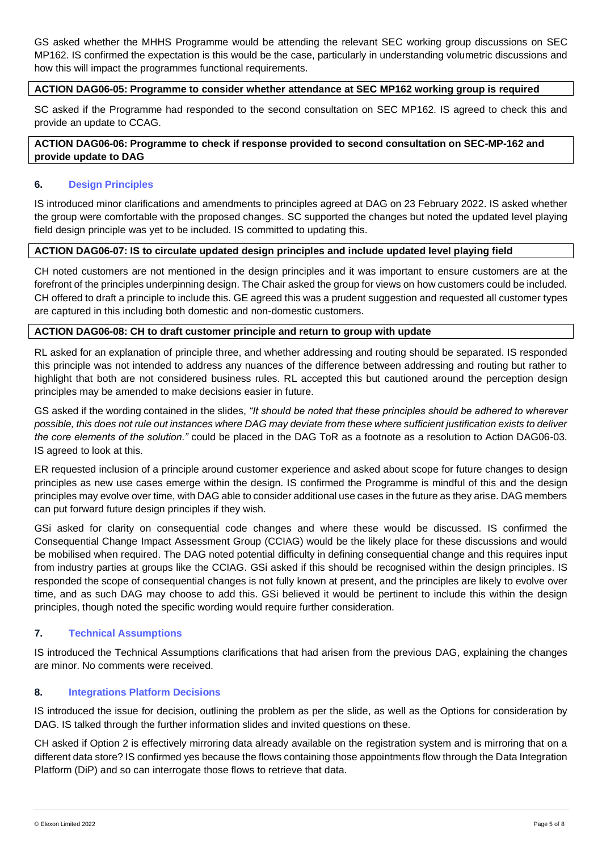GS asked whether the MHHS Programme would be attending the relevant SEC working group discussions on SEC MP162. IS confirmed the expectation is this would be the case, particularly in understanding volumetric discussions and how this will impact the programmes functional requirements.

#### **ACTION DAG06-05: Programme to consider whether attendance at SEC MP162 working group is required**

SC asked if the Programme had responded to the second consultation on SEC MP162. IS agreed to check this and provide an update to CCAG.

**ACTION DAG06-06: Programme to check if response provided to second consultation on SEC-MP-162 and provide update to DAG**

#### **6. Design Principles**

IS introduced minor clarifications and amendments to principles agreed at DAG on 23 February 2022. IS asked whether the group were comfortable with the proposed changes. SC supported the changes but noted the updated level playing field design principle was yet to be included. IS committed to updating this.

### **ACTION DAG06-07: IS to circulate updated design principles and include updated level playing field**

CH noted customers are not mentioned in the design principles and it was important to ensure customers are at the forefront of the principles underpinning design. The Chair asked the group for views on how customers could be included. CH offered to draft a principle to include this. GE agreed this was a prudent suggestion and requested all customer types are captured in this including both domestic and non-domestic customers.

#### **ACTION DAG06-08: CH to draft customer principle and return to group with update**

RL asked for an explanation of principle three, and whether addressing and routing should be separated. IS responded this principle was not intended to address any nuances of the difference between addressing and routing but rather to highlight that both are not considered business rules. RL accepted this but cautioned around the perception design principles may be amended to make decisions easier in future.

GS asked if the wording contained in the slides, *"It should be noted that these principles should be adhered to wherever possible, this does not rule out instances where DAG may deviate from these where sufficient justification exists to deliver the core elements of the solution."* could be placed in the DAG ToR as a footnote as a resolution to Action DAG06-03. IS agreed to look at this.

ER requested inclusion of a principle around customer experience and asked about scope for future changes to design principles as new use cases emerge within the design. IS confirmed the Programme is mindful of this and the design principles may evolve over time, with DAG able to consider additional use cases in the future as they arise. DAG members can put forward future design principles if they wish.

GSi asked for clarity on consequential code changes and where these would be discussed. IS confirmed the Consequential Change Impact Assessment Group (CCIAG) would be the likely place for these discussions and would be mobilised when required. The DAG noted potential difficulty in defining consequential change and this requires input from industry parties at groups like the CCIAG. GSi asked if this should be recognised within the design principles. IS responded the scope of consequential changes is not fully known at present, and the principles are likely to evolve over time, and as such DAG may choose to add this. GSi believed it would be pertinent to include this within the design principles, though noted the specific wording would require further consideration.

## **7. Technical Assumptions**

IS introduced the Technical Assumptions clarifications that had arisen from the previous DAG, explaining the changes are minor. No comments were received.

## **8. Integrations Platform Decisions**

IS introduced the issue for decision, outlining the problem as per the slide, as well as the Options for consideration by DAG. IS talked through the further information slides and invited questions on these.

CH asked if Option 2 is effectively mirroring data already available on the registration system and is mirroring that on a different data store? IS confirmed yes because the flows containing those appointments flow through the Data Integration Platform (DiP) and so can interrogate those flows to retrieve that data.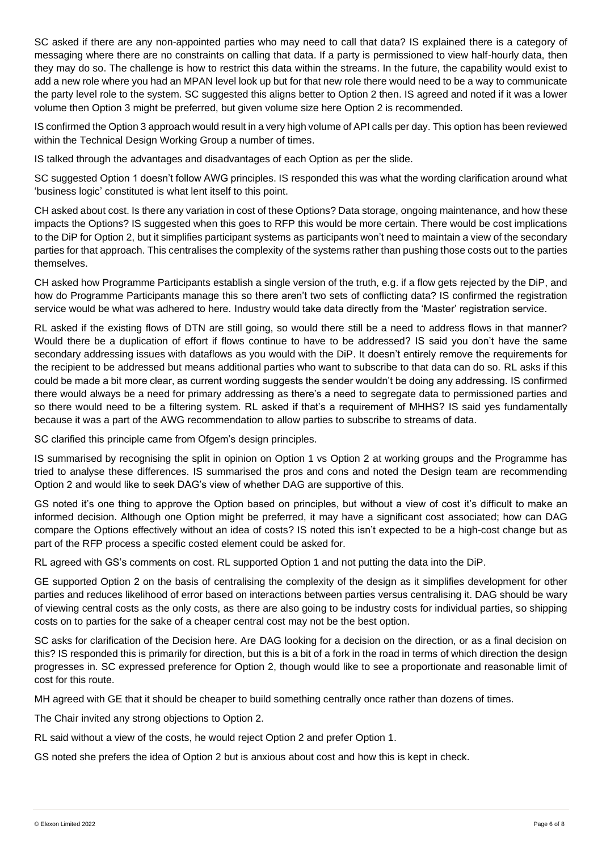SC asked if there are any non-appointed parties who may need to call that data? IS explained there is a category of messaging where there are no constraints on calling that data. If a party is permissioned to view half-hourly data, then they may do so. The challenge is how to restrict this data within the streams. In the future, the capability would exist to add a new role where you had an MPAN level look up but for that new role there would need to be a way to communicate the party level role to the system. SC suggested this aligns better to Option 2 then. IS agreed and noted if it was a lower volume then Option 3 might be preferred, but given volume size here Option 2 is recommended.

IS confirmed the Option 3 approach would result in a very high volume of API calls per day. This option has been reviewed within the Technical Design Working Group a number of times.

IS talked through the advantages and disadvantages of each Option as per the slide.

SC suggested Option 1 doesn't follow AWG principles. IS responded this was what the wording clarification around what 'business logic' constituted is what lent itself to this point.

CH asked about cost. Is there any variation in cost of these Options? Data storage, ongoing maintenance, and how these impacts the Options? IS suggested when this goes to RFP this would be more certain. There would be cost implications to the DiP for Option 2, but it simplifies participant systems as participants won't need to maintain a view of the secondary parties for that approach. This centralises the complexity of the systems rather than pushing those costs out to the parties themselves.

CH asked how Programme Participants establish a single version of the truth, e.g. if a flow gets rejected by the DiP, and how do Programme Participants manage this so there aren't two sets of conflicting data? IS confirmed the registration service would be what was adhered to here. Industry would take data directly from the 'Master' registration service.

RL asked if the existing flows of DTN are still going, so would there still be a need to address flows in that manner? Would there be a duplication of effort if flows continue to have to be addressed? IS said you don't have the same secondary addressing issues with dataflows as you would with the DiP. It doesn't entirely remove the requirements for the recipient to be addressed but means additional parties who want to subscribe to that data can do so. RL asks if this could be made a bit more clear, as current wording suggests the sender wouldn't be doing any addressing. IS confirmed there would always be a need for primary addressing as there's a need to segregate data to permissioned parties and so there would need to be a filtering system. RL asked if that's a requirement of MHHS? IS said yes fundamentally because it was a part of the AWG recommendation to allow parties to subscribe to streams of data.

SC clarified this principle came from Ofgem's design principles.

IS summarised by recognising the split in opinion on Option 1 vs Option 2 at working groups and the Programme has tried to analyse these differences. IS summarised the pros and cons and noted the Design team are recommending Option 2 and would like to seek DAG's view of whether DAG are supportive of this.

GS noted it's one thing to approve the Option based on principles, but without a view of cost it's difficult to make an informed decision. Although one Option might be preferred, it may have a significant cost associated; how can DAG compare the Options effectively without an idea of costs? IS noted this isn't expected to be a high-cost change but as part of the RFP process a specific costed element could be asked for.

RL agreed with GS's comments on cost. RL supported Option 1 and not putting the data into the DiP.

GE supported Option 2 on the basis of centralising the complexity of the design as it simplifies development for other parties and reduces likelihood of error based on interactions between parties versus centralising it. DAG should be wary of viewing central costs as the only costs, as there are also going to be industry costs for individual parties, so shipping costs on to parties for the sake of a cheaper central cost may not be the best option.

SC asks for clarification of the Decision here. Are DAG looking for a decision on the direction, or as a final decision on this? IS responded this is primarily for direction, but this is a bit of a fork in the road in terms of which direction the design progresses in. SC expressed preference for Option 2, though would like to see a proportionate and reasonable limit of cost for this route.

MH agreed with GE that it should be cheaper to build something centrally once rather than dozens of times.

The Chair invited any strong objections to Option 2.

RL said without a view of the costs, he would reject Option 2 and prefer Option 1.

GS noted she prefers the idea of Option 2 but is anxious about cost and how this is kept in check.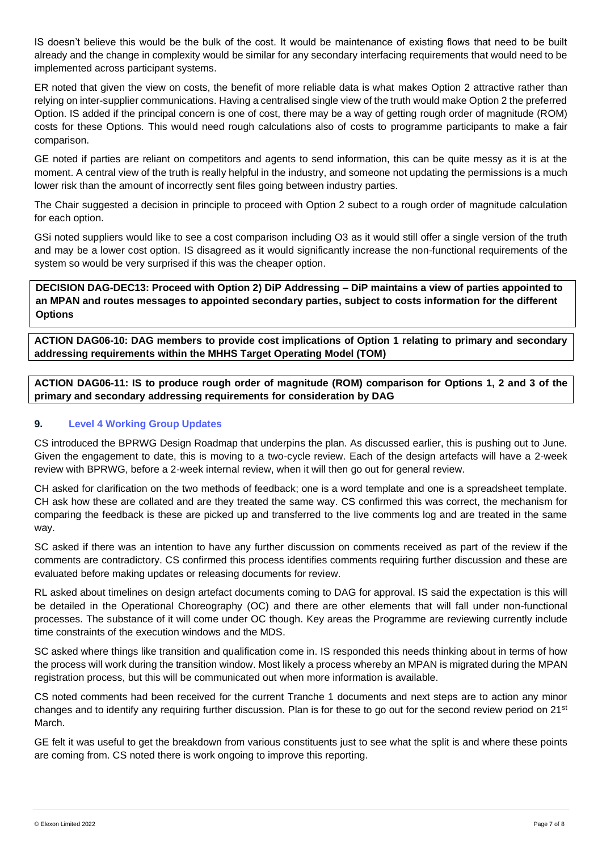IS doesn't believe this would be the bulk of the cost. It would be maintenance of existing flows that need to be built already and the change in complexity would be similar for any secondary interfacing requirements that would need to be implemented across participant systems.

ER noted that given the view on costs, the benefit of more reliable data is what makes Option 2 attractive rather than relying on inter-supplier communications. Having a centralised single view of the truth would make Option 2 the preferred Option. IS added if the principal concern is one of cost, there may be a way of getting rough order of magnitude (ROM) costs for these Options. This would need rough calculations also of costs to programme participants to make a fair comparison.

GE noted if parties are reliant on competitors and agents to send information, this can be quite messy as it is at the moment. A central view of the truth is really helpful in the industry, and someone not updating the permissions is a much lower risk than the amount of incorrectly sent files going between industry parties.

The Chair suggested a decision in principle to proceed with Option 2 subect to a rough order of magnitude calculation for each option.

GSi noted suppliers would like to see a cost comparison including O3 as it would still offer a single version of the truth and may be a lower cost option. IS disagreed as it would significantly increase the non-functional requirements of the system so would be very surprised if this was the cheaper option.

**DECISION DAG-DEC13: Proceed with Option 2) DiP Addressing – DiP maintains a view of parties appointed to an MPAN and routes messages to appointed secondary parties, subject to costs information for the different Options**

**ACTION DAG06-10: DAG members to provide cost implications of Option 1 relating to primary and secondary addressing requirements within the MHHS Target Operating Model (TOM)**

**ACTION DAG06-11: IS to produce rough order of magnitude (ROM) comparison for Options 1, 2 and 3 of the primary and secondary addressing requirements for consideration by DAG**

# **9. Level 4 Working Group Updates**

CS introduced the BPRWG Design Roadmap that underpins the plan. As discussed earlier, this is pushing out to June. Given the engagement to date, this is moving to a two-cycle review. Each of the design artefacts will have a 2-week review with BPRWG, before a 2-week internal review, when it will then go out for general review.

CH asked for clarification on the two methods of feedback; one is a word template and one is a spreadsheet template. CH ask how these are collated and are they treated the same way. CS confirmed this was correct, the mechanism for comparing the feedback is these are picked up and transferred to the live comments log and are treated in the same way.

SC asked if there was an intention to have any further discussion on comments received as part of the review if the comments are contradictory. CS confirmed this process identifies comments requiring further discussion and these are evaluated before making updates or releasing documents for review.

RL asked about timelines on design artefact documents coming to DAG for approval. IS said the expectation is this will be detailed in the Operational Choreography (OC) and there are other elements that will fall under non-functional processes. The substance of it will come under OC though. Key areas the Programme are reviewing currently include time constraints of the execution windows and the MDS.

SC asked where things like transition and qualification come in. IS responded this needs thinking about in terms of how the process will work during the transition window. Most likely a process whereby an MPAN is migrated during the MPAN registration process, but this will be communicated out when more information is available.

CS noted comments had been received for the current Tranche 1 documents and next steps are to action any minor changes and to identify any requiring further discussion. Plan is for these to go out for the second review period on 21st March.

GE felt it was useful to get the breakdown from various constituents just to see what the split is and where these points are coming from. CS noted there is work ongoing to improve this reporting.